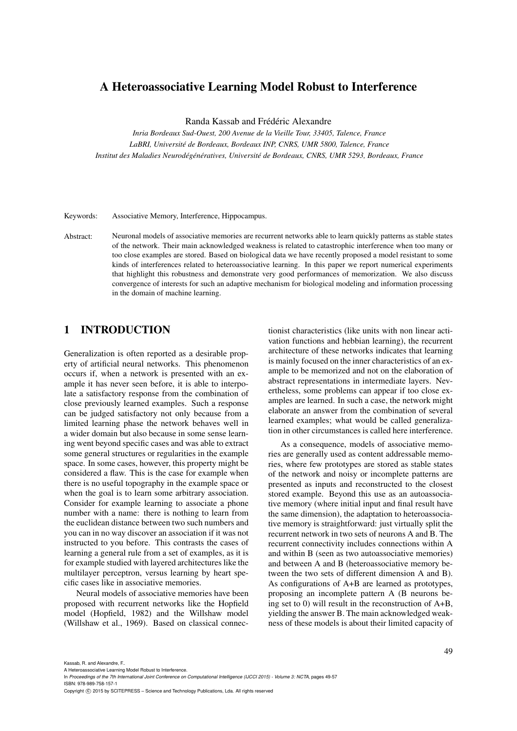## A Heteroassociative Learning Model Robust to Interference

Randa Kassab and Frédéric Alexandre

*Inria Bordeaux Sud-Ouest, 200 Avenue de la Vieille Tour, 33405, Talence, France LaBRI, Universite de Bordeaux, Bordeaux INP, CNRS, UMR 5800, Talence, France ´ Institut des Maladies Neurodeg´ en´ eratives, Universit ´ e de Bordeaux, CNRS, UMR 5293, Bordeaux, France ´*

Keywords: Associative Memory, Interference, Hippocampus.

Abstract: Neuronal models of associative memories are recurrent networks able to learn quickly patterns as stable states of the network. Their main acknowledged weakness is related to catastrophic interference when too many or too close examples are stored. Based on biological data we have recently proposed a model resistant to some kinds of interferences related to heteroassociative learning. In this paper we report numerical experiments that highlight this robustness and demonstrate very good performances of memorization. We also discuss convergence of interests for such an adaptive mechanism for biological modeling and information processing in the domain of machine learning.

## 1 INTRODUCTION

Generalization is often reported as a desirable property of artificial neural networks. This phenomenon occurs if, when a network is presented with an example it has never seen before, it is able to interpolate a satisfactory response from the combination of close previously learned examples. Such a response can be judged satisfactory not only because from a limited learning phase the network behaves well in a wider domain but also because in some sense learning went beyond specific cases and was able to extract some general structures or regularities in the example space. In some cases, however, this property might be considered a flaw. This is the case for example when there is no useful topography in the example space or when the goal is to learn some arbitrary association. Consider for example learning to associate a phone number with a name: there is nothing to learn from the euclidean distance between two such numbers and you can in no way discover an association if it was not instructed to you before. This contrasts the cases of learning a general rule from a set of examples, as it is for example studied with layered architectures like the multilayer perceptron, versus learning by heart specific cases like in associative memories.

Neural models of associative memories have been proposed with recurrent networks like the Hopfield model (Hopfield, 1982) and the Willshaw model (Willshaw et al., 1969). Based on classical connec-

tionist characteristics (like units with non linear activation functions and hebbian learning), the recurrent architecture of these networks indicates that learning is mainly focused on the inner characteristics of an example to be memorized and not on the elaboration of abstract representations in intermediate layers. Nevertheless, some problems can appear if too close examples are learned. In such a case, the network might elaborate an answer from the combination of several learned examples; what would be called generalization in other circumstances is called here interference.

As a consequence, models of associative memories are generally used as content addressable memories, where few prototypes are stored as stable states of the network and noisy or incomplete patterns are presented as inputs and reconstructed to the closest stored example. Beyond this use as an autoassociative memory (where initial input and final result have the same dimension), the adaptation to heteroassociative memory is straightforward: just virtually split the recurrent network in two sets of neurons A and B. The recurrent connectivity includes connections within A and within B (seen as two autoassociative memories) and between A and B (heteroassociative memory between the two sets of different dimension A and B). As configurations of A+B are learned as prototypes, proposing an incomplete pattern A (B neurons being set to 0) will result in the reconstruction of A+B, yielding the answer B. The main acknowledged weakness of these models is about their limited capacity of

Kassab, R. and Alexandre, F..

Copyright © 2015 by SCITEPRESS - Science and Technology Publications, Lda. All rights reserved

A Heteroassociative Learning Model Robust to Interference.

In *Proceedings of the 7th International Joint Conference on Computational Intelligence (IJCCI 2015) - Volume 3: NCTA*, pages 49-57 ISBN: 978-989-758-157-1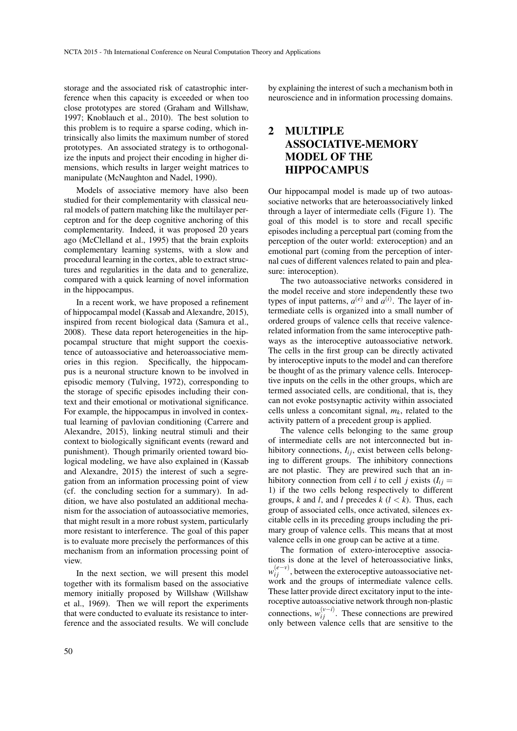storage and the associated risk of catastrophic interference when this capacity is exceeded or when too close prototypes are stored (Graham and Willshaw, 1997; Knoblauch et al., 2010). The best solution to this problem is to require a sparse coding, which intrinsically also limits the maximum number of stored prototypes. An associated strategy is to orthogonalize the inputs and project their encoding in higher dimensions, which results in larger weight matrices to manipulate (McNaughton and Nadel, 1990).

Models of associative memory have also been studied for their complementarity with classical neural models of pattern matching like the multilayer perceptron and for the deep cognitive anchoring of this complementarity. Indeed, it was proposed 20 years ago (McClelland et al., 1995) that the brain exploits complementary learning systems, with a slow and procedural learning in the cortex, able to extract structures and regularities in the data and to generalize, compared with a quick learning of novel information in the hippocampus.

In a recent work, we have proposed a refinement of hippocampal model (Kassab and Alexandre, 2015), inspired from recent biological data (Samura et al., 2008). These data report heterogeneities in the hippocampal structure that might support the coexistence of autoassociative and heteroassociative memories in this region. Specifically, the hippocampus is a neuronal structure known to be involved in episodic memory (Tulving, 1972), corresponding to the storage of specific episodes including their context and their emotional or motivational significance. For example, the hippocampus in involved in contextual learning of pavlovian conditioning (Carrere and Alexandre, 2015), linking neutral stimuli and their context to biologically significant events (reward and punishment). Though primarily oriented toward biological modeling, we have also explained in (Kassab and Alexandre, 2015) the interest of such a segregation from an information processing point of view (cf. the concluding section for a summary). In addition, we have also postulated an additional mechanism for the association of autoassociative memories, that might result in a more robust system, particularly more resistant to interference. The goal of this paper is to evaluate more precisely the performances of this mechanism from an information processing point of view.

In the next section, we will present this model together with its formalism based on the associative memory initially proposed by Willshaw (Willshaw et al., 1969). Then we will report the experiments that were conducted to evaluate its resistance to interference and the associated results. We will conclude by explaining the interest of such a mechanism both in neuroscience and in information processing domains.

# 2 MULTIPLE ASSOCIATIVE-MEMORY MODEL OF THE HIPPOCAMPUS

Our hippocampal model is made up of two autoassociative networks that are heteroassociatively linked through a layer of intermediate cells (Figure 1). The goal of this model is to store and recall specific episodes including a perceptual part (coming from the perception of the outer world: exteroception) and an emotional part (coming from the perception of internal cues of different valences related to pain and pleasure: interoception).

The two autoassociative networks considered in the model receive and store independently these two types of input patterns,  $a^{(e)}$  and  $a^{(i)}$ . The layer of intermediate cells is organized into a small number of ordered groups of valence cells that receive valencerelated information from the same interoceptive pathways as the interoceptive autoassociative network. The cells in the first group can be directly activated by interoceptive inputs to the model and can therefore be thought of as the primary valence cells. Interoceptive inputs on the cells in the other groups, which are termed associated cells, are conditional, that is, they can not evoke postsynaptic activity within associated cells unless a concomitant signal,  $m_k$ , related to the activity pattern of a precedent group is applied.

The valence cells belonging to the same group of intermediate cells are not interconnected but inhibitory connections,  $I_{ij}$ , exist between cells belonging to different groups. The inhibitory connections are not plastic. They are prewired such that an inhibitory connection from cell *i* to cell *j* exists  $(I_i)$  = 1) if the two cells belong respectively to different groups,  $k$  and  $l$ , and  $l$  precedes  $k$  ( $l < k$ ). Thus, each group of associated cells, once activated, silences excitable cells in its preceding groups including the primary group of valence cells. This means that at most valence cells in one group can be active at a time.

The formation of extero-interoceptive associations is done at the level of heteroassociative links, *w*<sup>(*e*−*v*)</sup>, between the exteroceptive autoassociative network and the groups of intermediate valence cells. These latter provide direct excitatory input to the interoceptive autoassociative network through non-plastic connections,  $w_{ij}^{(v-i)}$ . These connections are prewired only between valence cells that are sensitive to the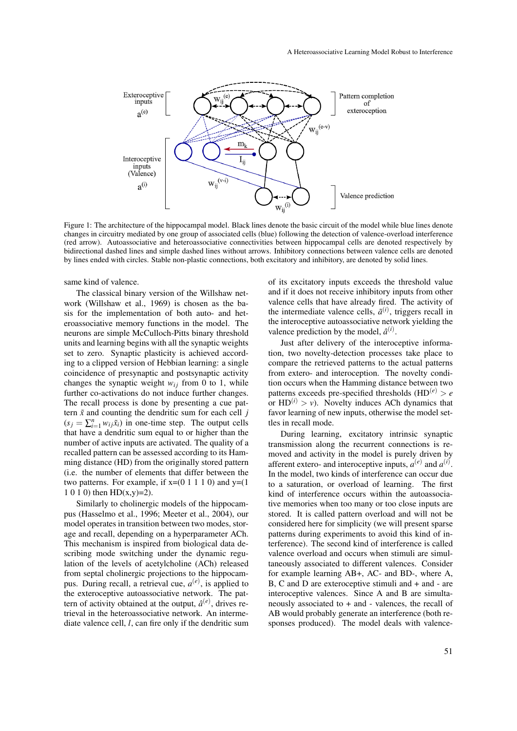

Figure 1: The architecture of the hippocampal model. Black lines denote the basic circuit of the model while blue lines denote changes in circuitry mediated by one group of associated cells (blue) following the detection of valence-overload interference (red arrow). Autoassociative and heteroassociative connectivities between hippocampal cells are denoted respectively by bidirectional dashed lines and simple dashed lines without arrows. Inhibitory connections between valence cells are denoted by lines ended with circles. Stable non-plastic connections, both excitatory and inhibitory, are denoted by solid lines.

#### same kind of valence.

The classical binary version of the Willshaw network (Willshaw et al., 1969) is chosen as the basis for the implementation of both auto- and heteroassociative memory functions in the model. The neurons are simple McCulloch-Pitts binary threshold units and learning begins with all the synaptic weights set to zero. Synaptic plasticity is achieved according to a clipped version of Hebbian learning: a single coincidence of presynaptic and postsynaptic activity changes the synaptic weight  $w_{ij}$  from 0 to 1, while further co-activations do not induce further changes. The recall process is done by presenting a cue pattern  $\tilde{x}$  and counting the dendritic sum for each cell  $j$  $(s_j = \sum_{i=1}^n w_{ij} \tilde{x}_i)$  in one-time step. The output cells that have a dendritic sum equal to or higher than the number of active inputs are activated. The quality of a recalled pattern can be assessed according to its Hamming distance (HD) from the originally stored pattern (i.e. the number of elements that differ between the two patterns. For example, if  $x=(0 1 1 1 0)$  and  $y=(1$ 1 0 1 0) then HD(x,y)=2).

Similarly to cholinergic models of the hippocampus (Hasselmo et al., 1996; Meeter et al., 2004), our model operates in transition between two modes, storage and recall, depending on a hyperparameter ACh. This mechanism is inspired from biological data describing mode switching under the dynamic regulation of the levels of acetylcholine (ACh) released from septal cholinergic projections to the hippocampus. During recall, a retrieval cue,  $a^{(e)}$ , is applied to the exteroceptive autoassociative network. The pattern of activity obtained at the output,  $\hat{a}^{(e)}$ , drives retrieval in the heteroassociative network. An intermediate valence cell, *l*, can fire only if the dendritic sum of its excitatory inputs exceeds the threshold value and if it does not receive inhibitory inputs from other valence cells that have already fired. The activity of the intermediate valence cells,  $\tilde{a}^{(i)}$ , triggers recall in the interoceptive autoassociative network yielding the valence prediction by the model,  $\hat{a}^{(i)}$ .

Just after delivery of the interoceptive information, two novelty-detection processes take place to compare the retrieved patterns to the actual patterns from extero- and interoception. The novelty condition occurs when the Hamming distance between two patterns exceeds pre-specified thresholds  $(HD^{(e)} > e$ or  $HD^{(i)} > v$ ). Novelty induces ACh dynamics that favor learning of new inputs, otherwise the model settles in recall mode.

During learning, excitatory intrinsic synaptic transmission along the recurrent connections is removed and activity in the model is purely driven by afferent extero- and interoceptive inputs,  $a^{(e)}$  and  $a^{(i)}$ . In the model, two kinds of interference can occur due to a saturation, or overload of learning. The first kind of interference occurs within the autoassociative memories when too many or too close inputs are stored. It is called pattern overload and will not be considered here for simplicity (we will present sparse patterns during experiments to avoid this kind of interference). The second kind of interference is called valence overload and occurs when stimuli are simultaneously associated to different valences. Consider for example learning AB+, AC- and BD-, where A, B, C and D are exteroceptive stimuli and + and - are interoceptive valences. Since A and B are simultaneously associated to + and - valences, the recall of AB would probably generate an interference (both responses produced). The model deals with valence-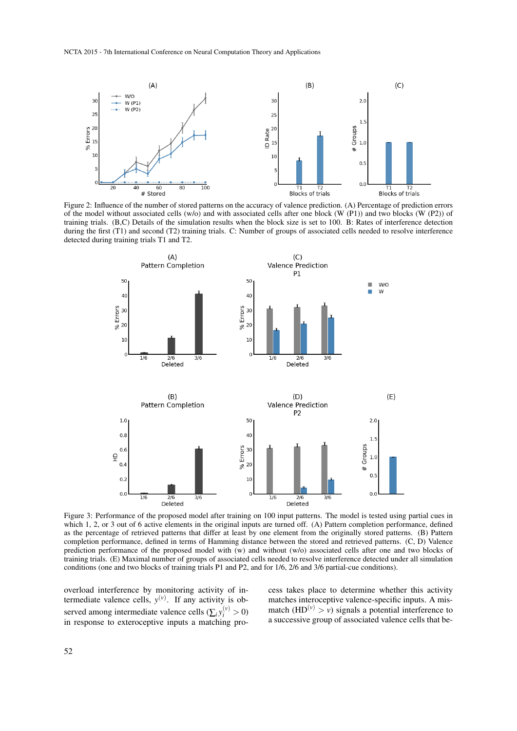

Figure 2: Influence of the number of stored patterns on the accuracy of valence prediction. (A) Percentage of prediction errors of the model without associated cells (w/o) and with associated cells after one block (W (P1)) and two blocks (W (P2)) of training trials. (B,C) Details of the simulation results when the block size is set to 100. B: Rates of interference detection during the first (T1) and second (T2) training trials. C: Number of groups of associated cells needed to resolve interference detected during training trials T1 and T2.



Figure 3: Performance of the proposed model after training on 100 input patterns. The model is tested using partial cues in which 1, 2, or 3 out of 6 active elements in the original inputs are turned off. (A) Pattern completion performance, defined as the percentage of retrieved patterns that differ at least by one element from the originally stored patterns. (B) Pattern completion performance, defined in terms of Hamming distance between the stored and retrieved patterns. (C, D) Valence prediction performance of the proposed model with (w) and without (w/o) associated cells after one and two blocks of training trials. (E) Maximal number of groups of associated cells needed to resolve interference detected under all simulation conditions (one and two blocks of training trials P1 and P2, and for 1/6, 2/6 and 3/6 partial-cue conditions).

overload interference by monitoring activity of intermediate valence cells,  $y^{(v)}$ . If any activity is observed among intermediate valence cells  $(\sum_i y_i^{(\nu)} > 0)$ in response to exteroceptive inputs a matching process takes place to determine whether this activity matches interoceptive valence-specific inputs. A mismatch  $(HD^{(v)} > v)$  signals a potential interference to a successive group of associated valence cells that be-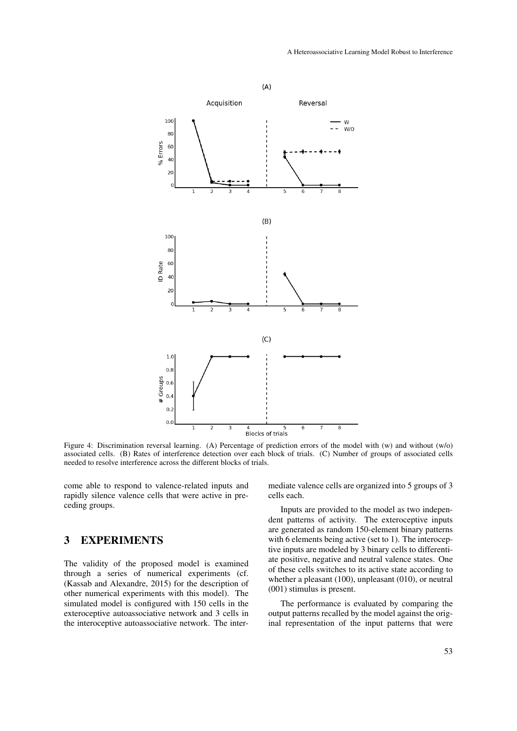

Figure 4: Discrimination reversal learning. (A) Percentage of prediction errors of the model with (w) and without (w/o) associated cells. (B) Rates of interference detection over each block of trials. (C) Number of groups of associated cells needed to resolve interference across the different blocks of trials.

come able to respond to valence-related inputs and rapidly silence valence cells that were active in preceding groups.

## 3 EXPERIMENTS

The validity of the proposed model is examined through a series of numerical experiments (cf. (Kassab and Alexandre, 2015) for the description of other numerical experiments with this model). The simulated model is configured with 150 cells in the exteroceptive autoassociative network and 3 cells in the interoceptive autoassociative network. The intermediate valence cells are organized into 5 groups of 3 cells each.

Inputs are provided to the model as two independent patterns of activity. The exteroceptive inputs are generated as random 150-element binary patterns with 6 elements being active (set to 1). The interoceptive inputs are modeled by 3 binary cells to differentiate positive, negative and neutral valence states. One of these cells switches to its active state according to whether a pleasant (100), unpleasant (010), or neutral (001) stimulus is present.

The performance is evaluated by comparing the output patterns recalled by the model against the original representation of the input patterns that were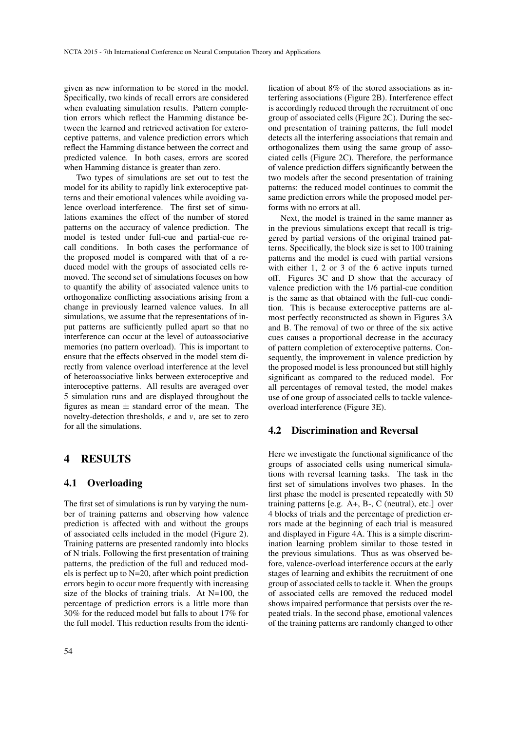given as new information to be stored in the model. Specifically, two kinds of recall errors are considered when evaluating simulation results. Pattern completion errors which reflect the Hamming distance between the learned and retrieved activation for exteroceptive patterns, and valence prediction errors which reflect the Hamming distance between the correct and predicted valence. In both cases, errors are scored when Hamming distance is greater than zero.

Two types of simulations are set out to test the model for its ability to rapidly link exteroceptive patterns and their emotional valences while avoiding valence overload interference. The first set of simulations examines the effect of the number of stored patterns on the accuracy of valence prediction. The model is tested under full-cue and partial-cue recall conditions. In both cases the performance of the proposed model is compared with that of a reduced model with the groups of associated cells removed. The second set of simulations focuses on how to quantify the ability of associated valence units to orthogonalize conflicting associations arising from a change in previously learned valence values. In all simulations, we assume that the representations of input patterns are sufficiently pulled apart so that no interference can occur at the level of autoassociative memories (no pattern overload). This is important to ensure that the effects observed in the model stem directly from valence overload interference at the level of heteroassociative links between exteroceptive and interoceptive patterns. All results are averaged over 5 simulation runs and are displayed throughout the figures as mean  $\pm$  standard error of the mean. The novelty-detection thresholds, *e* and *v*, are set to zero for all the simulations.

## 4 RESULTS

#### 4.1 Overloading

The first set of simulations is run by varying the number of training patterns and observing how valence prediction is affected with and without the groups of associated cells included in the model (Figure 2). Training patterns are presented randomly into blocks of N trials. Following the first presentation of training patterns, the prediction of the full and reduced models is perfect up to N=20, after which point prediction errors begin to occur more frequently with increasing size of the blocks of training trials. At N=100, the percentage of prediction errors is a little more than 30% for the reduced model but falls to about 17% for the full model. This reduction results from the identi-

fication of about 8% of the stored associations as interfering associations (Figure 2B). Interference effect is accordingly reduced through the recruitment of one group of associated cells (Figure 2C). During the second presentation of training patterns, the full model detects all the interfering associations that remain and orthogonalizes them using the same group of associated cells (Figure 2C). Therefore, the performance of valence prediction differs significantly between the two models after the second presentation of training patterns: the reduced model continues to commit the same prediction errors while the proposed model performs with no errors at all.

Next, the model is trained in the same manner as in the previous simulations except that recall is triggered by partial versions of the original trained patterns. Specifically, the block size is set to 100 training patterns and the model is cued with partial versions with either 1, 2 or 3 of the 6 active inputs turned off. Figures 3C and D show that the accuracy of valence prediction with the 1/6 partial-cue condition is the same as that obtained with the full-cue condition. This is because exteroceptive patterns are almost perfectly reconstructed as shown in Figures 3A and B. The removal of two or three of the six active cues causes a proportional decrease in the accuracy of pattern completion of exteroceptive patterns. Consequently, the improvement in valence prediction by the proposed model is less pronounced but still highly significant as compared to the reduced model. For all percentages of removal tested, the model makes use of one group of associated cells to tackle valenceoverload interference (Figure 3E).

### 4.2 Discrimination and Reversal

Here we investigate the functional significance of the groups of associated cells using numerical simulations with reversal learning tasks. The task in the first set of simulations involves two phases. In the first phase the model is presented repeatedly with 50 training patterns [e.g. A+, B-, C (neutral), etc.] over 4 blocks of trials and the percentage of prediction errors made at the beginning of each trial is measured and displayed in Figure 4A. This is a simple discrimination learning problem similar to those tested in the previous simulations. Thus as was observed before, valence-overload interference occurs at the early stages of learning and exhibits the recruitment of one group of associated cells to tackle it. When the groups of associated cells are removed the reduced model shows impaired performance that persists over the repeated trials. In the second phase, emotional valences of the training patterns are randomly changed to other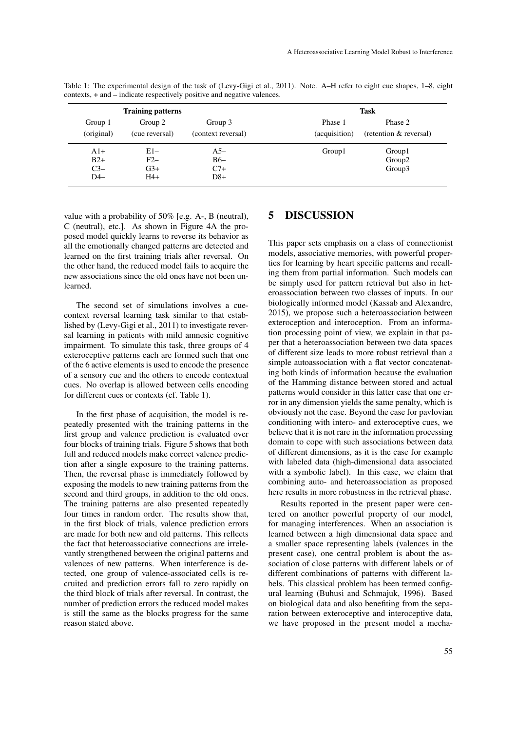| <b>Training patterns</b> |                |                    | <b>Task</b>   |                        |
|--------------------------|----------------|--------------------|---------------|------------------------|
| Group 1                  | Group 2        | Group 3            | Phase 1       | Phase 2                |
| (original)               | (cue reversal) | (context reversal) | (acquisition) | (retention & reversal) |
| $A1+$                    | $E1-$          | $A5-$              | Group1        | Group1                 |
| $B2+$                    | $F2-$          | $B6-$              |               | Group <sub>2</sub>     |
| $C3-$                    | $G3+$          | $C7+$              |               | Group3                 |
| $D4-$                    | $H4+$          | $D8+$              |               |                        |

Table 1: The experimental design of the task of (Levy-Gigi et al., 2011). Note. A–H refer to eight cue shapes, 1–8, eight contexts, + and – indicate respectively positive and negative valences.

value with a probability of 50% [e.g. A-, B (neutral), C (neutral), etc.]. As shown in Figure 4A the proposed model quickly learns to reverse its behavior as all the emotionally changed patterns are detected and learned on the first training trials after reversal. On the other hand, the reduced model fails to acquire the new associations since the old ones have not been unlearned.

The second set of simulations involves a cuecontext reversal learning task similar to that established by (Levy-Gigi et al., 2011) to investigate reversal learning in patients with mild amnesic cognitive impairment. To simulate this task, three groups of 4 exteroceptive patterns each are formed such that one of the 6 active elements is used to encode the presence of a sensory cue and the others to encode contextual cues. No overlap is allowed between cells encoding for different cues or contexts (cf. Table 1).

In the first phase of acquisition, the model is repeatedly presented with the training patterns in the first group and valence prediction is evaluated over four blocks of training trials. Figure 5 shows that both full and reduced models make correct valence prediction after a single exposure to the training patterns. Then, the reversal phase is immediately followed by exposing the models to new training patterns from the second and third groups, in addition to the old ones. The training patterns are also presented repeatedly four times in random order. The results show that, in the first block of trials, valence prediction errors are made for both new and old patterns. This reflects the fact that heteroassociative connections are irrelevantly strengthened between the original patterns and valences of new patterns. When interference is detected, one group of valence-associated cells is recruited and prediction errors fall to zero rapidly on the third block of trials after reversal. In contrast, the number of prediction errors the reduced model makes is still the same as the blocks progress for the same reason stated above.

## 5 DISCUSSION

This paper sets emphasis on a class of connectionist models, associative memories, with powerful properties for learning by heart specific patterns and recalling them from partial information. Such models can be simply used for pattern retrieval but also in heteroassociation between two classes of inputs. In our biologically informed model (Kassab and Alexandre, 2015), we propose such a heteroassociation between exteroception and interoception. From an information processing point of view, we explain in that paper that a heteroassociation between two data spaces of different size leads to more robust retrieval than a simple autoassociation with a flat vector concatenating both kinds of information because the evaluation of the Hamming distance between stored and actual patterns would consider in this latter case that one error in any dimension yields the same penalty, which is obviously not the case. Beyond the case for pavlovian conditioning with intero- and exteroceptive cues, we believe that it is not rare in the information processing domain to cope with such associations between data of different dimensions, as it is the case for example with labeled data (high-dimensional data associated with a symbolic label). In this case, we claim that combining auto- and heteroassociation as proposed here results in more robustness in the retrieval phase.

Results reported in the present paper were centered on another powerful property of our model, for managing interferences. When an association is learned between a high dimensional data space and a smaller space representing labels (valences in the present case), one central problem is about the association of close patterns with different labels or of different combinations of patterns with different labels. This classical problem has been termed configural learning (Buhusi and Schmajuk, 1996). Based on biological data and also benefiting from the separation between exteroceptive and interoceptive data, we have proposed in the present model a mecha-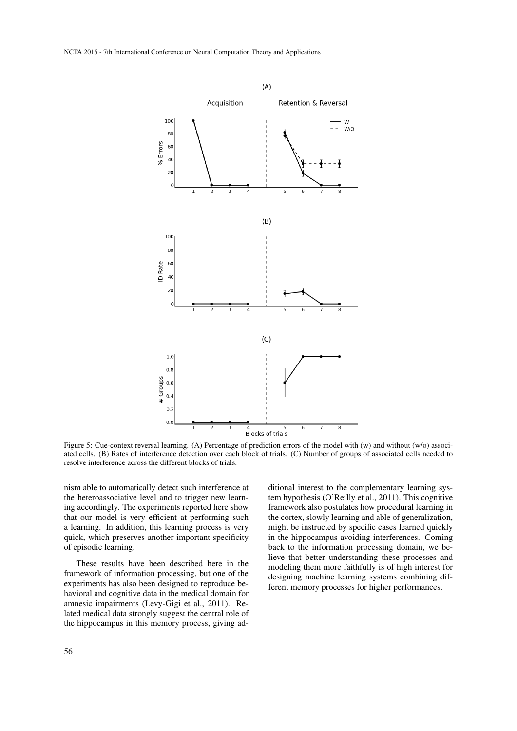

Figure 5: Cue-context reversal learning. (A) Percentage of prediction errors of the model with (w) and without (w/o) associated cells. (B) Rates of interference detection over each block of trials. (C) Number of groups of associated cells needed to resolve interference across the different blocks of trials.

nism able to automatically detect such interference at the heteroassociative level and to trigger new learning accordingly. The experiments reported here show that our model is very efficient at performing such a learning. In addition, this learning process is very quick, which preserves another important specificity of episodic learning.

These results have been described here in the framework of information processing, but one of the experiments has also been designed to reproduce behavioral and cognitive data in the medical domain for amnesic impairments (Levy-Gigi et al., 2011). Related medical data strongly suggest the central role of the hippocampus in this memory process, giving additional interest to the complementary learning system hypothesis (O'Reilly et al., 2011). This cognitive framework also postulates how procedural learning in the cortex, slowly learning and able of generalization, might be instructed by specific cases learned quickly in the hippocampus avoiding interferences. Coming back to the information processing domain, we believe that better understanding these processes and modeling them more faithfully is of high interest for designing machine learning systems combining different memory processes for higher performances.